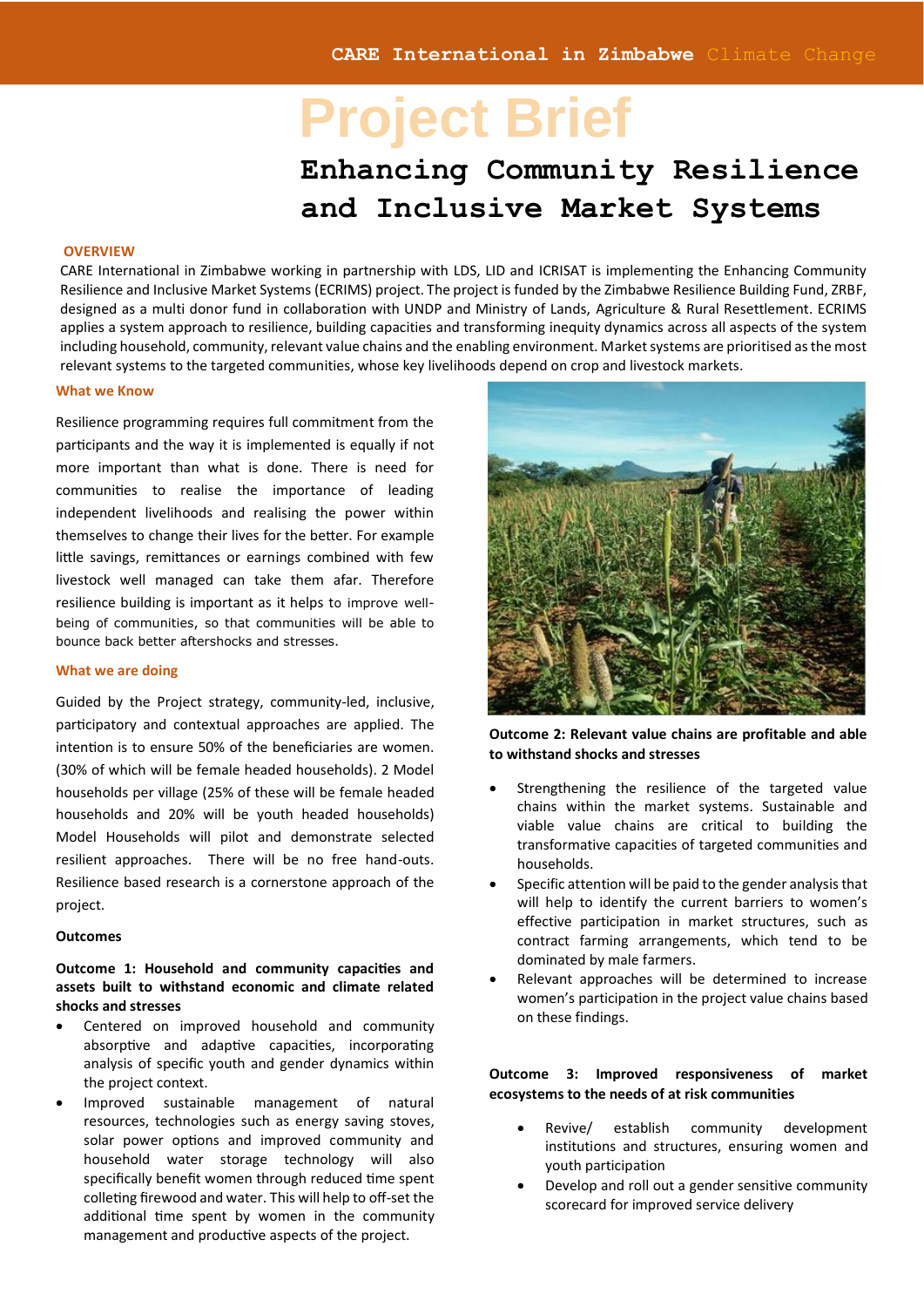Resilience **Clima**Education

# **Project Brief**

# **Enhancing Community Resilience and Inclusive Market Systems**

#### **OVERVIEW**

CARE International in Zimbabwe working in partnership with LDS, LID and ICRISAT is implementing the Enhancing Community Resilience and Inclusive Market Systems (ECRIMS) project. The project is funded by the Zimbabwe Resilience Building Fund, ZRBF, designed as a multi donor fund in collaboration with UNDP and Ministry of Lands, Agriculture & Rural Resettlement. ECRIMS applies a system approach to resilience, building capacities and transforming inequity dynamics across all aspects of the system including household, community, relevant value chains and the enabling environment. Market systems are prioritised as the most relevant systems to the targeted communities, whose key livelihoods depend on crop and livestock markets.

#### **What we Know**

Resilience programming requires full commitment from the participants and the way it is implemented is equally if not more important than what is done. There is need for communities to realise the importance of leading independent livelihoods and realising the power within themselves to change their lives for the better. For example little savings, remittances or earnings combined with few livestock well managed can take them afar. Therefore resilience building is important as it helps to improve wellbeing of communities, so that communities will be able to bounce back better aftershocks and stresses.

#### **What we are doing**

Guided by the Project strategy, community-led, inclusive, participatory and contextual approaches are applied. The intention is to ensure 50% of the beneficiaries are women. (30% of which will be female headed households). 2 Model households per village (25% of these will be female headed households and 20% will be youth headed households) Model Households will pilot and demonstrate selected resilient approaches. There will be no free hand-outs. Resilience based research is a cornerstone approach of the project.

#### **Outcomes**

# **Outcome 1: Household and community capacities and assets built to withstand economic and climate related shocks and stresses**

- Centered on improved household and community absorptive and adaptive capacities, incorporating analysis of specific youth and gender dynamics within the project context.
- Improved sustainable management of natural resources, technologies such as energy saving stoves, solar power options and improved community and household water storage technology will also specifically benefit women through reduced time spent colleting firewood and water. This will help to off-set the additional time spent by women in the community management and productive aspects of the project.



**Outcome 2: Relevant value chains are profitable and able to withstand shocks and stresses**

- Strengthening the resilience of the targeted value chains within the market systems. Sustainable and viable value chains are critical to building the transformative capacities of targeted communities and households.
- Specific attention will be paid to the gender analysis that will help to identify the current barriers to women's effective participation in market structures, such as contract farming arrangements, which tend to be dominated by male farmers.
- Relevant approaches will be determined to increase women's participation in the project value chains based on these findings.

# **Outcome 3: Improved responsiveness of market ecosystems to the needs of at risk communities**

- Revive/ establish community development institutions and structures, ensuring women and youth participation
- Develop and roll out a gender sensitive community scorecard for improved service delivery